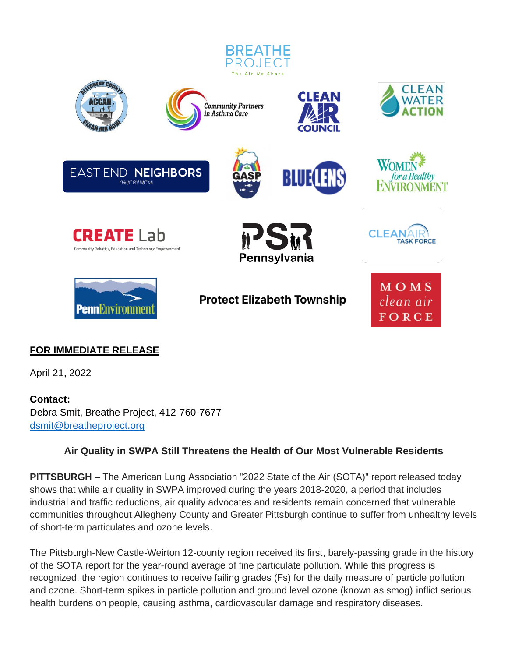

## **FOR IMMEDIATE RELEASE**

April 21, 2022

**Contact:** Debra Smit, Breathe Project, 412-760-7677 [dsmit@breatheproject.org](mailto:dsmit@breatheproject.org)

# **Air Quality in SWPA Still Threatens the Health of Our Most Vulnerable Residents**

**PITTSBURGH –** The American Lung Association "2022 State of the Air (SOTA)" report released today shows that while air quality in SWPA improved during the years 2018-2020, a period that includes industrial and traffic reductions, air quality advocates and residents remain concerned that vulnerable communities throughout Allegheny County and Greater Pittsburgh continue to suffer from unhealthy levels of short-term particulates and ozone levels.

The Pittsburgh-New Castle-Weirton 12-county region received its first, barely-passing grade in the history of the SOTA report for the year-round average of fine particulate pollution. While this progress is recognized, the region continues to receive failing grades (Fs) for the daily measure of particle pollution and ozone. Short-term spikes in particle pollution and ground level ozone (known as smog) inflict serious health burdens on people, causing asthma, cardiovascular damage and respiratory diseases.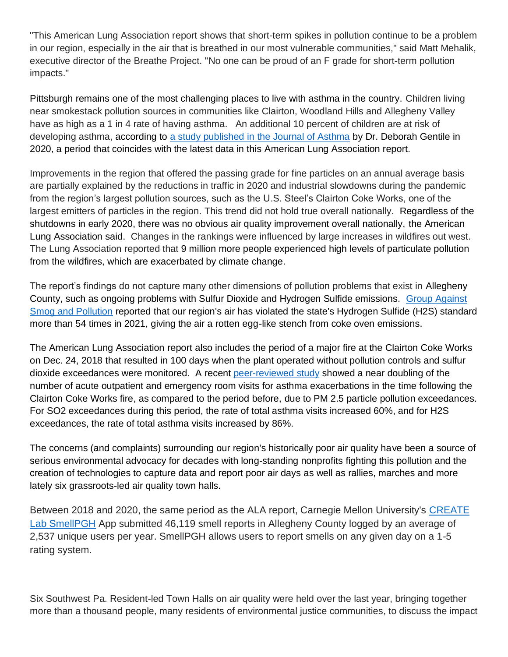"This American Lung Association report shows that short-term spikes in pollution continue to be a problem in our region, especially in the air that is breathed in our most vulnerable communities," said Matt Mehalik, executive director of the Breathe Project. "No one can be proud of an F grade for short-term pollution impacts."

Pittsburgh remains one of the most challenging places to live with asthma in the country. Children living near smokestack pollution sources in communities like Clairton, Woodland Hills and Allegheny Valley have as high as a 1 in 4 rate of having asthma. An additional 10 percent of children are at risk of developing asthma, according to [a study published in the Journal of Asthma](https://www.tandfonline.com/doi/full/10.1080/02770903.2020.1840584) by Dr. Deborah Gentile in 2020, a period that coincides with the latest data in this American Lung Association report.

Improvements in the region that offered the passing grade for fine particles on an annual average basis are partially explained by the reductions in traffic in 2020 and industrial slowdowns during the pandemic from the region's largest pollution sources, such as the U.S. Steel's Clairton Coke Works, one of the largest emitters of particles in the region. This trend did not hold true overall nationally. Regardless of the shutdowns in early 2020, there was no obvious air quality improvement overall nationally, the American Lung Association said. Changes in the rankings were influenced by large increases in wildfires out west. The Lung Association reported that 9 million more people experienced high levels of particulate pollution from the wildfires, which are exacerbated by climate change.

The report's findings do not capture many other dimensions of pollution problems that exist in Allegheny County, such as ongoing problems with Sulfur Dioxide and Hydrogen Sulfide emissions. [Group Against](https://gasp-pgh.org/2022/01/05/tuesday-marked-first-hydrogen-sulfide-exceedance-of-the-year-for-allegheny-county/)  [Smog and Pollution](https://gasp-pgh.org/2022/01/05/tuesday-marked-first-hydrogen-sulfide-exceedance-of-the-year-for-allegheny-county/) reported that our region's air has violated the state's Hydrogen Sulfide (H2S) standard more than 54 times in 2021, giving the air a rotten egg-like stench from coke oven emissions.

The American Lung Association report also includes the period of a major fire at the Clairton Coke Works on Dec. 24, 2018 that resulted in 100 days when the plant operated without pollution controls and sulfur dioxide exceedances were monitored. A recent [peer-reviewed](https://www.mdpi.com/2305-6304/9/7/147/htm) study showed a near doubling of the number of acute outpatient and emergency room visits for asthma exacerbations in the time following the Clairton Coke Works fire, as compared to the period before, due to PM 2.5 particle pollution exceedances. For SO2 exceedances during this period, the rate of total asthma visits increased 60%, and for H2S exceedances, the rate of total asthma visits increased by 86%.

The concerns (and complaints) surrounding our region's historically poor air quality have been a source of serious environmental advocacy for decades with long-standing nonprofits fighting this pollution and the creation of technologies to capture data and report poor air days as well as rallies, marches and more lately six grassroots-led air quality town halls.

Between 2018 and 2020, the same period as the ALA report, Carnegie Mellon University's CREATE [Lab SmellPGH](https://smellpgh.org/analysis) App submitted 46,119 smell reports in Allegheny County logged by an average of 2,537 unique users per year. SmellPGH allows users to report smells on any given day on a 1-5 rating system.

Six Southwest Pa. Resident-led Town Halls on air quality were held over the last year, bringing together more than a thousand people, many residents of environmental justice communities, to discuss the impact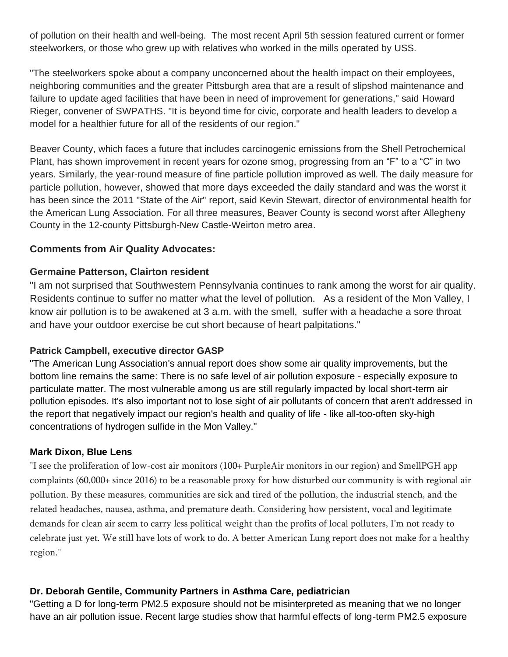of pollution on their health and well-being. The most recent April 5th session featured current or former steelworkers, or those who grew up with relatives who worked in the mills operated by USS.

"The steelworkers spoke about a company unconcerned about the health impact on their employees, neighboring communities and the greater Pittsburgh area that are a result of slipshod maintenance and failure to update aged facilities that have been in need of improvement for generations," said Howard Rieger, convener of SWPATHS. "It is beyond time for civic, corporate and health leaders to develop a model for a healthier future for all of the residents of our region."

Beaver County, which faces a future that includes carcinogenic emissions from the Shell Petrochemical Plant, has shown improvement in recent years for ozone smog, progressing from an "F" to a "C" in two years. Similarly, the year-round measure of fine particle pollution improved as well. The daily measure for particle pollution, however, showed that more days exceeded the daily standard and was the worst it has been since the 2011 "State of the Air" report, said Kevin Stewart, director of environmental health for the American Lung Association. For all three measures, Beaver County is second worst after Allegheny County in the 12-county Pittsburgh-New Castle-Weirton metro area.

## **Comments from Air Quality Advocates:**

## **Germaine Patterson, Clairton resident**

"I am not surprised that Southwestern Pennsylvania continues to rank among the worst for air quality. Residents continue to suffer no matter what the level of pollution. As a resident of the Mon Valley, I know air pollution is to be awakened at 3 a.m. with the smell, suffer with a headache a sore throat and have your outdoor exercise be cut short because of heart palpitations."

#### **Patrick Campbell, executive director GASP**

"The American Lung Association's annual report does show some air quality improvements, but the bottom line remains the same: There is no safe level of air pollution exposure - especially exposure to particulate matter. The most vulnerable among us are still regularly impacted by local short-term air pollution episodes. It's also important not to lose sight of air pollutants of concern that aren't addressed in the report that negatively impact our region's health and quality of life - like all-too-often sky-high concentrations of hydrogen sulfide in the Mon Valley."

#### **Mark Dixon, Blue Lens**

"I see the proliferation of low-cost air monitors (100+ PurpleAir monitors in our region) and SmellPGH app complaints (60,000+ since 2016) to be a reasonable proxy for how disturbed our community is with regional air pollution. By these measures, communities are sick and tired of the pollution, the industrial stench, and the related headaches, nausea, asthma, and premature death. Considering how persistent, vocal and legitimate demands for clean air seem to carry less political weight than the profits of local polluters, I'm not ready to celebrate just yet. We still have lots of work to do. A better American Lung report does not make for a healthy region."

#### **Dr. Deborah Gentile, Community Partners in Asthma Care, pediatrician**

"Getting a D for long-term PM2.5 exposure should not be misinterpreted as meaning that we no longer have an air pollution issue. Recent large studies show that harmful effects of long-term PM2.5 exposure